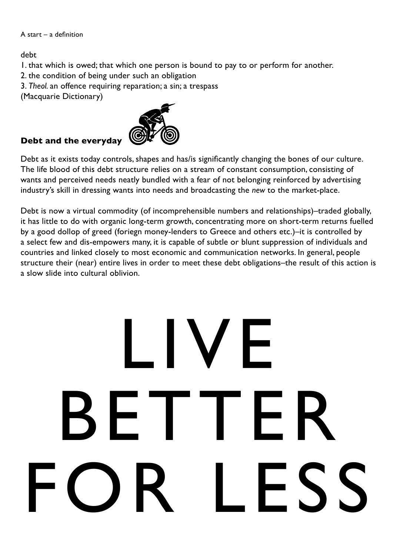## A start – a definition

debt

- 1. that which is owed; that which one person is bound to pay to or perform for another.
- 2. the condition of being under such an obligation
- 3. *Theol.* an offence requiring reparation; a sin; a trespass
- (Macquarie Dictionary)

## **Debt and the everyday**



Debt as it exists today controls, shapes and has/is significantly changing the bones of our culture. The life blood of this debt structure relies on a stream of constant consumption, consisting of wants and perceived needs neatly bundled with a fear of not belonging reinforced by advertising industry's skill in dressing wants into needs and broadcasting the *new* to the market-place.

Debt is now a virtual commodity (of incomprehensible numbers and relationships)-traded globally, it has little to do with organic long-term growth, concentrating more on short-term returns fuelled by a good dollop of greed (foriegn money-lenders to Greece and others etc.)–it is controlled by a select few and dis-empowers many, it is capable of subtle or blunt suppression of individuals and countries and linked closely to most economic and communication networks. In general, people structure their (near) entire lives in order to meet these debt obligations–the result of this action is a slow slide into cultural oblivion.

## LIVE  $-1$ te FOR LESS